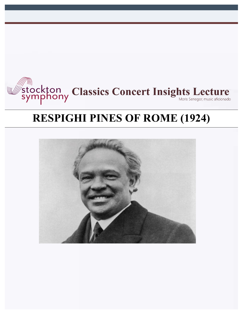

# **RESPIGHI PINES OF ROME (1924)**

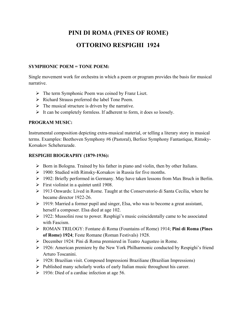# **PINI DI ROMA (PINES OF ROME) OTTORINO RESPIGHI 1924**

# **SYMPHONIC POEM = TONE POEM:**

Single movement work for orchestra in which a poem or program provides the basis for musical narrative.

- $\triangleright$  The term Symphonic Poem was coined by Franz Liszt.
- Ø Richard Strauss preferred the label Tone Poem.
- $\triangleright$  The musical structure is driven by the narrative.
- $\triangleright$  It can be completely formless. If adherent to form, it does so loosely.

# **PROGRAM MUSIC:**

Instrumental composition depicting extra-musical material, or telling a literary story in musical terms. Examples: Beethoven Symphony #6 (Pastoral), Berlioz Symphony Fantastique, Rimsky-Korsakov Scheherazade.

#### **RESPIGHI BIOGRAPHY (1879-1936):**

- $\triangleright$  Born in Bologna. Trained by his father in piano and violin, then by other Italians.
- Ø 1900: Studied with Rimsky-Korsakov in Russia for five months.
- $\geq 1902$ : Briefly performed in Germany. May have taken lessons from Max Bruch in Berlin.
- $\triangleright$  First violinist in a quintet until 1908.
- $\triangleright$  1913 Onwards: Lived in Rome. Taught at the Conservatorio di Santa Cecilia, where he became director 1922-26.
- $\triangleright$  1919: Married a former pupil and singer, Elsa, who was to become a great assistant, herself a composer. Elsa died at age 102.
- $\triangleright$  1922: Mussolini rose to power. Resphigi's music coincidentally came to be associated with Fascism.
- Ø ROMAN TRILOGY: Fontane di Roma (Fountains of Rome) 1914; **Pini di Roma (Pines of Rome) 1924**; Feste Romane (Roman Festivals) 1928.
- Ø December 1924: Pini di Roma premiered in Teatro Augusteo in Rome.
- $\geq$  1926: American premiere by the New York Philharmonic conducted by Respighi's friend Arturo Toscanini.
- $\triangleright$  1928: Brazilian visit. Composed Impressioni Braziliane (Brazilian Impressions)
- $\triangleright$  Published many scholarly works of early Italian music throughout his career.
- $\geq$  1936: Died of a cardiac infection at age 56.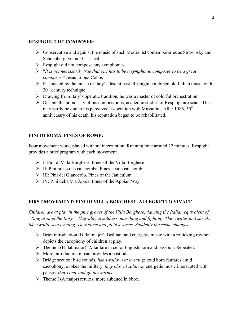#### **RESPIGHI, THE COMPOSER:**

- $\triangleright$  Conservative and against the music of such Modernist contemporaries as Stravinsky and Schoenberg, yet not Classical.
- $\triangleright$  Respighi did not compose any symphonies.
- Ø "*It is not necessarily true that one has to be a symphonic composer to be a great composer.*" Jesus Lopez-Cobos
- $\triangleright$  Fascinated by the music of Italy's distant past, Respighi combined old Italian music with  $20<sup>th</sup>$  century technique.
- $\triangleright$  Drawing from Italy's operatic tradition, he was a master of colorful orchestration.
- $\triangleright$  Despite the popularity of his compositions, academic studies of Resphigi are scant. This may partly be due to his perceived association with Mussolini. After 1986,  $50<sup>th</sup>$ anniversary of his death, his reputation began to be rehabilitated.

# **PINI DI ROMA, PINES OF ROME:**

Four movement work, played without interruption. Running time around 22 minutes. Respighi provides a brief program with each movement.

- $\triangleright$  I: Pini di Villa Borghese, Pines of the Villa Borghese
- $\triangleright$  II: Pini preso una catacomba, Pines near a catacomb
- $\triangleright$  III: Pini del Gianocolo, Pines of the Janiculum
- $\triangleright$  IV: Pini della Via Appia, Pines of the Appian Way

# **FIRST MOVEMENT: PINI DI VILLA BORGHESE, ALLEGRETTO VIVACE**

*Children are at play in the pine groves of the Villa Borghese, dancing the Italian equivalent of "Ring around the Rosy." They play at soldiers, marching and fighting. They twitter and shriek, like swallows at evening. They come and go in swarms. Suddenly the scene changes.*

- $\triangleright$  Brief introduction (B flat major). Brilliant and energetic music with a rollicking rhythm depicts the cacophony of children at play.
- $\triangleright$  Theme I (B flat major): A fanfare in cello, English horn and bassoon. Repeated.
- $\triangleright$  More introduction music provides a postlude.
- Ø Bridge section: bird sounds, *like swallows at evening*; loud horn fanfares amid cacophony, evokes the military, *they play at soldiers*; energetic music interrupted with pauses, *they come and go in swarms*.
- $\triangleright$  Theme I (A major) returns, more subdued in oboe.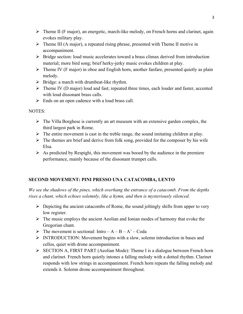- $\triangleright$  Theme II (F major), an energetic, march-like melody, on French horns and clarinet, again evokes military play.
- $\triangleright$  Theme III (A major), a repeated rising phrase, presented with Theme II motive in accompaniment.
- $\triangleright$  Bridge section: loud music accelerates toward a brass climax derived from introduction material; more bird song; brief herky-jerky music evokes children at play.
- $\triangleright$  Theme IV (F major) in oboe and English horn, another fanfare, presented quietly as plain melody.
- $\triangleright$  Bridge: a march with drumbeat-like rhythm.
- $\triangleright$  Theme IV (D major) loud and fast; repeated three times, each louder and faster, accented with loud dissonant brass calls.
- $\triangleright$  Ends on an open cadence with a loud brass call.

# NOTES:

- $\triangleright$  The Villa Borghese is currently an art museum with an extensive garden complex, the third largest park in Rome.
- $\triangleright$  The entire movement is cast in the treble range, the sound imitating children at play.
- $\triangleright$  The themes are brief and derive from folk song, provided for the composer by his wife Elsa.
- $\triangleright$  As predicted by Respighi, this movement was booed by the audience in the premiere performance, mainly because of the dissonant trumpet calls.

# **SECOND MOVEMENT: PINI PRESSO UNA CATACOMBA, LENTO**

*We see the shadows of the pines, which overhang the entrance of a catacomb. From the depths rises a chant, which echoes solemnly, like a hymn, and then is mysteriously silenced.*

- $\triangleright$  Depicting the ancient catacombs of Rome, the sound joltingly shifts from upper to very low register.
- $\triangleright$  The music employs the ancient Aeolian and Ionian modes of harmony that evoke the Gregorian chant.
- $\triangleright$  The movement is sectional: Intro A B A' Coda
- Ø INTRODUCTION: Movement begins with a slow, solemn introduction in bases and cellos, quiet with drone accompaniment.
- $\triangleright$  SECTION A, FIRST PART (Aeolian Mode): Theme I is a dialogue between French horn and clarinet. French horn quietly intones a falling melody with a dotted rhythm. Clarinet responds with low strings in accompaniment. French horn repeats the falling melody and extends it. Solemn drone accompaniment throughout.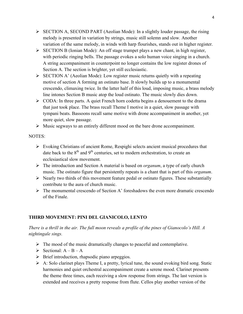- $\triangleright$  SECTION A, SECOND PART (Aeolian Mode): In a slightly louder passage, the rising melody is presented in variation by strings, music still solemn and slow. Another variation of the same melody, in winds with harp flourishes, stands out in higher register.
- $\triangleright$  SECTION B (Ionian Mode): An off stage trumpet plays a new chant, in high register, with periodic ringing bells. The passage evokes a solo human voice singing in a church. A string accompaniment in counterpoint no longer contains the low register drones of Section A. The section is brighter, yet still ecclesiastic.
- $\triangleright$  SECTION A' (Aeolian Mode): Low register music returns quietly with a repeating motive of section A forming an ostinato base. It slowly builds up to a monumental crescendo, climaxing twice. In the latter half of this loud, imposing music, a brass melody line intones Section B music atop the loud ostinato. The music slowly dies down.
- $\triangleright$  CODA: In three parts. A quiet French horn codetta begins a denouement to the drama that just took place. The brass recall Theme I motive in a quiet, slow passage with tympani beats. Bassoons recall same motive with drone accompaniment in another, yet more quiet, slow passage.
- $\triangleright$  Music segways to an entirely different mood on the bare drone accompaniment.

#### NOTES:

- $\triangleright$  Evoking Christians of ancient Rome, Respighi selects ancient musical procedures that date back to the  $8<sup>th</sup>$  and  $9<sup>th</sup>$  centuries, set to modern orchestration, to create an ecclesiastical slow movement.
- Ø The introduction and Section A material is based on *organum*, a type of early church music. The ostinato figure that persistently repeats is a chant that is part of this *organum*.
- $\triangleright$  Nearly two thirds of this movement feature pedal or ostinato figures. These substantially contribute to the aura of church music.
- $\triangleright$  The monumental crescendo of Section A' foreshadows the even more dramatic crescendo of the Finale.

# **THIRD MOVEMENT: PINI DEL GIANICOLO, LENTO**

# *There is a thrill in the air. The full moon reveals a profile of the pines of Gianocolo's Hill. A nightingale sings.*

- $\triangleright$  The mood of the music dramatically changes to peaceful and contemplative.
- $\triangleright$  Sectional:  $A B A$
- $\triangleright$  Brief introduction, rhapsodic piano arpeggios.
- $\triangleright$  A: Solo clarinet plays Theme I, a pretty, lyrical tune, the sound evoking bird song. Static harmonies and quiet orchestral accompaniment create a serene mood. Clarinet presents the theme three times, each receiving a slow response from strings. The last version is extended and receives a pretty response from flute. Cellos play another version of the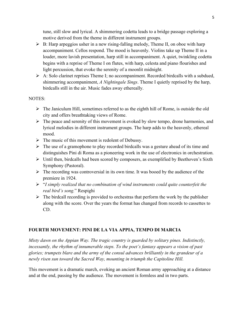tune, still slow and lyrical. A shimmering codetta leads to a bridge passage exploring a motive derived from the theme in different instrument groups.

- $\triangleright$  B: Harp arpeggios usher in a new rising-falling melody, Theme II, on oboe with harp accompaniment. Cellos respond. The mood is heavenly. Violins take up Theme II in a louder, more lavish presentation, harp still in accompaniment. A quiet, twinkling codetta begins with a reprise of Theme I on flutes, with harp, celesta and piano flourishes and light percussion, that evoke the serenity of a moonlit midnight.
- $\triangleright$  A: Solo clarinet reprises Theme I; no accompaniment. Recorded birdcalls with a subdued, shimmering accompaniment, *A Nightingale Sings*. Theme I quietly reprised by the harp, birdcalls still in the air. Music fades away ethereally.

#### NOTES:

- $\triangleright$  The Janiculum Hill, sometimes referred to as the eighth hill of Rome, is outside the old city and offers breathtaking views of Rome.
- $\triangleright$  The peace and serenity of this movement is evoked by slow tempo, drone harmonies, and lyrical melodies in different instrument groups. The harp adds to the heavenly, ethereal mood.
- $\triangleright$  The music of this movement is redolent of Debussy.
- $\triangleright$  The use of a gramophone to play recorded birdcalls was a gesture ahead of its time and distinguishes Pini di Roma as a pioneering work in the use of electronics in orchestration.
- $\triangleright$  Until then, birdcalls had been scored by composers, as exemplified by Beethoven's Sixth Symphony (Pastoral).
- $\triangleright$  The recording was controversial in its own time. It was booed by the audience of the premiere in 1924.
- Ø "*I simply realized that no combination of wind instruments could quite counterfeit the real bird's song.*" Respighi
- $\triangleright$  The birdcall recording is provided to orchestras that perform the work by the publisher along with the score. Over the years the format has changed from records to cassettes to CD.

#### **FOURTH MOVEMENT: PINI DE LA VIA APPIA, TEMPO DI MARCIA**

*Misty dawn on the Appian Way. The tragic country is guarded by solitary pines. Indistinctly, incessantly, the rhythm of innumerable steps. To the poet's fantasy appears a vision of past glories; trumpets blare and the army of the consul advances brilliantly in the grandeur of a newly risen sun toward the Sacred Way, mounting in triumph the Capitoline Hill.*

This movement is a dramatic march, evoking an ancient Roman army approaching at a distance and at the end, passing by the audience. The movement is formless and in two parts.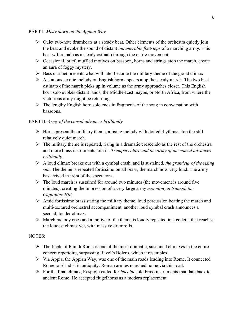#### PART I: *Misty dawn on the Appian Way*

- $\triangleright$  Quiet two-note drumbeats at a steady beat. Other elements of the orchestra quietly join the beat and evoke the sound of distant *innumerable footsteps* of a marching army. This beat will remain as a steady ostinato through the entire movement.
- $\triangleright$  Occasional, brief, muffled motives on bassoon, horns and strings atop the march, create an aura of foggy mystery.
- $\triangleright$  Bass clarinet presents what will later become the military theme of the grand climax.
- $\triangleright$  A sinuous, exotic melody on English horn appears atop the steady march. The two beat ostinato of the march picks up in volume as the army approaches closer. This English horn solo evokes distant lands, the Middle-East maybe, or North Africa, from where the victorious army might be returning.
- $\triangleright$  The lengthy English horn solo ends in fragments of the song in conversation with bassoons.

# PART II: *Army of the consul advances brilliantly*

- $\triangleright$  Horns present the military theme, a rising melody with dotted rhythms, atop the still relatively quiet march.
- $\triangleright$  The military theme is repeated, rising in a dramatic crescendo as the rest of the orchestra and more brass instruments join in. *Trumpets blare and the army of the consul advances brilliantly*.
- Ø A loud climax breaks out with a cymbal crash, and is sustained, *the grandeur of the rising sun*. The theme is repeated fortissimo on all brass, the march now very loud. The army has arrived in front of the spectators.
- $\triangleright$  The loud march is sustained for around two minutes (the movement is around five minutes), creating the impression of a very large army *mounting in triumph the Capitoline Hill*.
- $\triangleright$  Amid fortissimo brass stating the military theme, loud percussion beating the march and multi-textured orchestral accompaniment, another loud cymbal crash announces a second, louder climax.
- $\triangleright$  March melody rises and a motive of the theme is loudly repeated in a codetta that reaches the loudest climax yet, with massive drumrolls.

#### NOTES:

- $\triangleright$  The finale of Pini di Roma is one of the most dramatic, sustained climaxes in the entire concert repertoire, surpassing Ravel's Bolero, which it resembles.
- $\triangleright$  Via Appia, the Appian Way, was one of the main roads leading into Rome. It connected Rome to Brindisi in antiquity. Roman armies marched home via this road.
- Ø For the final climax, Respighi called for *buccine*, old brass instruments that date back to ancient Rome. He accepted flugelhorns as a modern replacement.